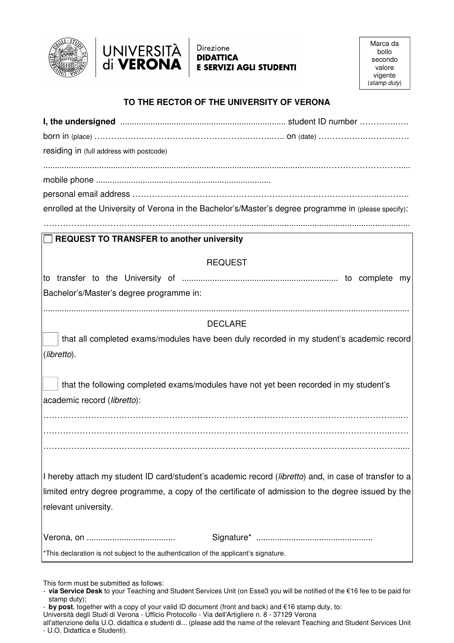



### Direzione **DIDATTICA E SERVIZI AGLI STUDENTI**

# **TO THE RECTOR OF THE UNIVERSITY OF VERONA**

| residing in (full address with postcode)                                                                             |                                                                                          |  |
|----------------------------------------------------------------------------------------------------------------------|------------------------------------------------------------------------------------------|--|
|                                                                                                                      |                                                                                          |  |
|                                                                                                                      |                                                                                          |  |
|                                                                                                                      |                                                                                          |  |
| enrolled at the University of Verona in the Bachelor's/Master's degree programme in (please specify):                |                                                                                          |  |
| $\Box$ REQUEST TO TRANSFER to another university                                                                     |                                                                                          |  |
| <b>REQUEST</b>                                                                                                       |                                                                                          |  |
|                                                                                                                      |                                                                                          |  |
| Bachelor's/Master's degree programme in:                                                                             |                                                                                          |  |
| <b>DECLARE</b>                                                                                                       |                                                                                          |  |
|                                                                                                                      | that all completed exams/modules have been duly recorded in my student's academic record |  |
| (libretto).                                                                                                          |                                                                                          |  |
| that the following completed exams/modules have not yet been recorded in my student's<br>academic record (libretto): |                                                                                          |  |
|                                                                                                                      |                                                                                          |  |
|                                                                                                                      |                                                                                          |  |
|                                                                                                                      |                                                                                          |  |
| I hereby attach my student ID card/student's academic record (libretto) and, in case of transfer to a                |                                                                                          |  |
| limited entry degree programme, a copy of the certificate of admission to the degree issued by the                   |                                                                                          |  |
| relevant university.                                                                                                 |                                                                                          |  |
|                                                                                                                      |                                                                                          |  |
| *This declaration is not subject to the authentication of the applicant's signature.                                 |                                                                                          |  |

This form must be submitted as follows:

<sup>-</sup> **via Service Desk** to your Teaching and Student Services Unit (on Esse3 you will be notified of the €16 fee to be paid for stamp duty);

<sup>-</sup> **by post**, together with a copy of your valid ID document (front and back) and €16 stamp duty, to:

Università degli Studi di Verona - Ufficio Protocollo - Via dell'Artigliere n. 8 - 37129 Verona

all'attenzione della U.O. didattica e studenti di... (please add the name of the relevant Teaching and Student Services Unit - U.O. Didattica e Studenti).